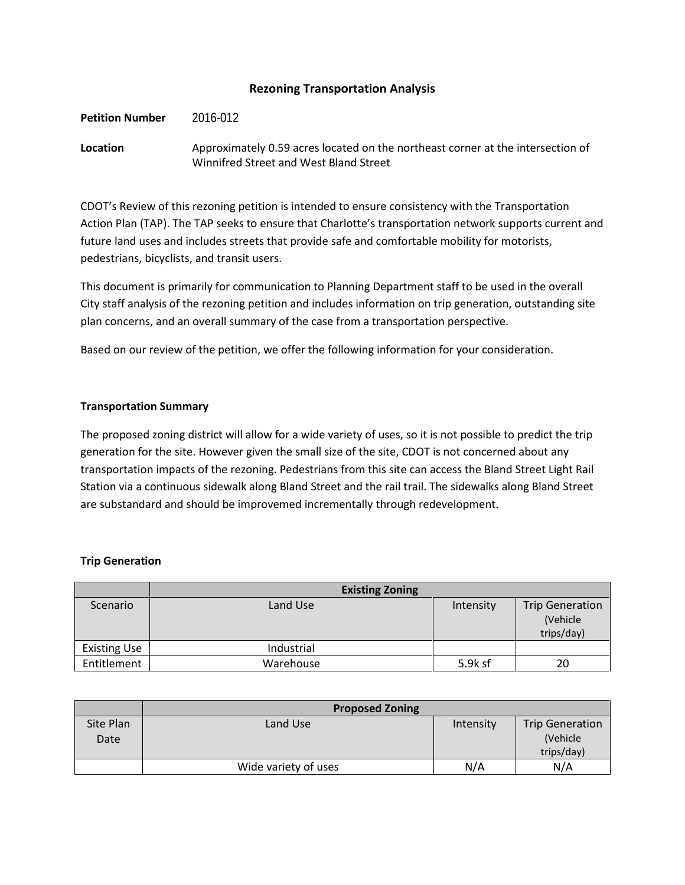### **Rezoning Transportation Analysis**

#### **Petition Number** 2016-012

## **Location** Approximately 0.59 acres located on the northeast corner at the intersection of Winnifred Street and West Bland Street

CDOT's Review of this rezoning petition is intended to ensure consistency with the Transportation Action Plan (TAP). The TAP seeks to ensure that Charlotte's transportation network supports current and future land uses and includes streets that provide safe and comfortable mobility for motorists, pedestrians, bicyclists, and transit users.

This document is primarily for communication to Planning Department staff to be used in the overall City staff analysis of the rezoning petition and includes information on trip generation, outstanding site plan concerns, and an overall summary of the case from a transportation perspective.

Based on our review of the petition, we offer the following information for your consideration.

#### **Transportation Summary**

The proposed zoning district will allow for a wide variety of uses, so it is not possible to predict the trip generation for the site. However given the small size of the site, CDOT is not concerned about any transportation impacts of the rezoning. Pedestrians from this site can access the Bland Street Light Rail Station via a continuous sidewalk along Bland Street and the rail trail. The sidewalks along Bland Street are substandard and should be improvemed incrementally through redevelopment.

#### **Trip Generation**

|                     | <b>Existing Zoning</b> |           |                                                  |
|---------------------|------------------------|-----------|--------------------------------------------------|
| Scenario            | Land Use               | Intensity | <b>Trip Generation</b><br>(Vehicle<br>trips/day) |
| <b>Existing Use</b> | Industrial             |           |                                                  |
| Entitlement         | Warehouse              | 5.9k sf   | 20                                               |

|                   | <b>Proposed Zoning</b> |           |                                                  |
|-------------------|------------------------|-----------|--------------------------------------------------|
| Site Plan<br>Date | Land Use               | Intensity | <b>Trip Generation</b><br>(Vehicle<br>trips/day) |
|                   | Wide variety of uses   | N/A       | N/A                                              |